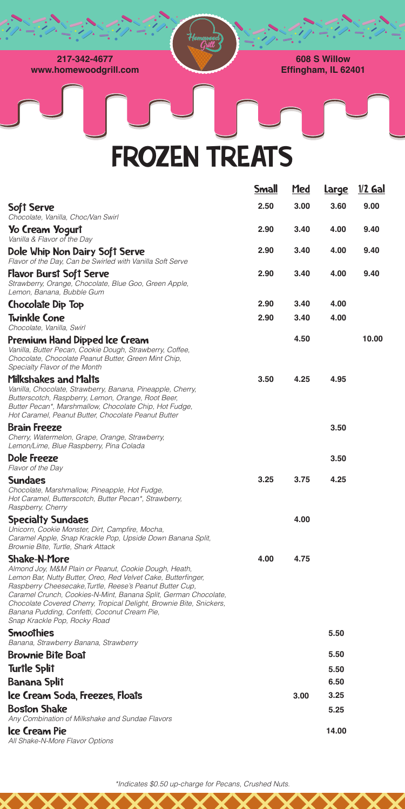| <b>Soft Serve</b>                                                                                                                                                                                                                                                                                                                               | 2.50 | 3.00 | 3.60 | 9.00  |
|-------------------------------------------------------------------------------------------------------------------------------------------------------------------------------------------------------------------------------------------------------------------------------------------------------------------------------------------------|------|------|------|-------|
| Chocolate, Vanilla, Choc/Van Swirl                                                                                                                                                                                                                                                                                                              |      |      |      |       |
| Yo Cream Yogurt<br>Vanilla & Flavor of the Day                                                                                                                                                                                                                                                                                                  | 2.90 | 3.40 | 4.00 | 9.40  |
| Dole Whip Non Dairy Soft Serve<br>Flavor of the Day, Can be Swirled with Vanilla Soft Serve                                                                                                                                                                                                                                                     | 2.90 | 3.40 | 4.00 | 9.40  |
| <b>Flavor Burst Soft Serve</b><br>Strawberry, Orange, Chocolate, Blue Goo, Green Apple,<br>Lemon, Banana, Bubble Gum                                                                                                                                                                                                                            | 2.90 | 3.40 | 4.00 | 9.40  |
| <b>Chocolate Dip Top</b>                                                                                                                                                                                                                                                                                                                        | 2.90 | 3.40 | 4.00 |       |
| <b>Twinkle Cone</b><br>Chocolate, Vanilla, Swirl                                                                                                                                                                                                                                                                                                | 2.90 | 3.40 | 4.00 |       |
| Premium Hand Dipped Ice Cream<br>Vanilla, Butter Pecan, Cookie Dough, Strawberry, Coffee,<br>Chocolate, Chocolate Peanut Butter, Green Mint Chip,<br>Specialty Flavor of the Month                                                                                                                                                              |      | 4.50 |      | 10.00 |
| Milkshakes and Malts<br>Vanilla, Chocolate, Strawberry, Banana, Pineapple, Cherry,<br>Butterscotch, Raspberry, Lemon, Orange, Root Beer,<br>Butter Pecan*, Marshmallow, Chocolate Chip, Hot Fudge,<br>Hot Caramel, Peanut Butter, Chocolate Peanut Butter                                                                                       | 3.50 | 4.25 | 4.95 |       |
| <b>Brain Freeze</b><br>Cherry, Watermelon, Grape, Orange, Strawberry,<br>Lemon/Lime, Blue Raspberry, Pina Colada                                                                                                                                                                                                                                |      |      | 3.50 |       |
| Dole Freeze<br>Flavor of the Day                                                                                                                                                                                                                                                                                                                |      |      | 3.50 |       |
| <b>Sundaes</b><br>Chocolate, Marshmallow, Pineapple, Hot Fudge,<br>Hot Caramel, Butterscotch, Butter Pecan*, Strawberry,<br>Raspberry, Cherry                                                                                                                                                                                                   | 3.25 | 3.75 | 4.25 |       |
| <b>Specialty Sundaes</b><br>Unicorn, Cookie Monster, Dirt, Campfire, Mocha,<br>Caramel Apple, Snap Krackle Pop, Upside Down Banana Split,<br>Brownie Bite, Turtle, Shark Attack                                                                                                                                                                 |      | 4.00 |      |       |
| <b>Shake-N-More</b><br>Almond Joy, M&M Plain or Peanut, Cookie Dough, Heath,<br>Lemon Bar, Nutty Butter, Oreo, Red Velvet Cake, Butterfinger,<br>Raspberry Cheesecake, Turtle, Reese's Peanut Butter Cup,<br>Caramel Crunch, Cookies-N-Mint, Banana Split, German Chocolate,<br>Chocolate Covered Cherry Tropical Delight Brownie Rite Spickers | 4.00 | 4.75 |      |       |



| CHOCORIC COVEIEU CHEITY, TIOPICAL DEIIGHT, DIOWINE DITE, OHICREIS,<br>Banana Pudding, Confetti, Coconut Cream Pie,<br>Snap Krackle Pop, Rocky Road |      |       |
|----------------------------------------------------------------------------------------------------------------------------------------------------|------|-------|
| <b>Smoothies</b><br>Banana, Strawberry Banana, Strawberry                                                                                          |      | 5.50  |
| <b>Brownie Bite Boat</b>                                                                                                                           |      | 5.50  |
| <b>Turtle Split</b>                                                                                                                                |      | 5.50  |
| <b>Banana Split</b>                                                                                                                                |      | 6.50  |
| Ice Cream Soda, Freezes, Floats                                                                                                                    | 3.00 | 3.25  |
| <b>Boston Shake</b><br>Any Combination of Milkshake and Sundae Flavors                                                                             |      | 5.25  |
| Ice Cream Pie<br>All Shake-N-More Flavor Options                                                                                                   |      | 14.00 |
|                                                                                                                                                    |      |       |

Small Med Large 1/2 Gal

*\*Indicates \$0.50 up-charge for Pecans, Crushed Nuts.*